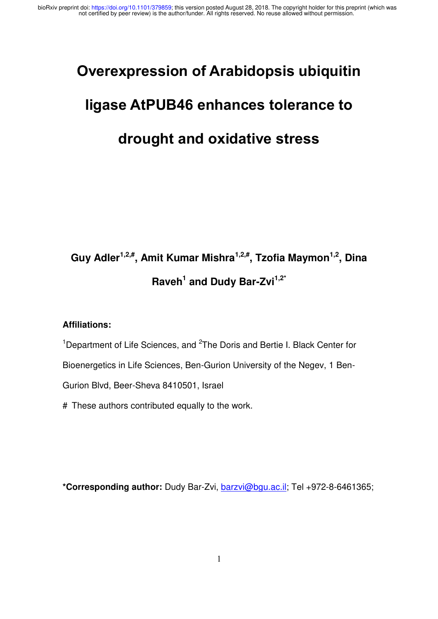### **Overexpression of Arabidopsis ubiquitin**

# **ligase AtPUB46 enhances tolerance to**

## **drought and oxidative stress**

## **Guy Adler1,2,# , Amit Kumar Mishra1,2,# , Tzofia Maymon1,2 , Dina Raveh<sup>1</sup> and Dudy Bar-Zvi1,2\***

#### **Affiliations:**

<sup>1</sup>Department of Life Sciences, and <sup>2</sup>The Doris and Bertie I. Black Center for

Bioenergetics in Life Sciences, Ben-Gurion University of the Negev, 1 Ben-

Gurion Blvd, Beer-Sheva 8410501, Israel

# These authors contributed equally to the work.

**\*Corresponding author:** Dudy Bar-Zvi, [barzvi@bgu.ac.il;](mailto:barzvi@bgu.ac.il) Tel +972-8-6461365;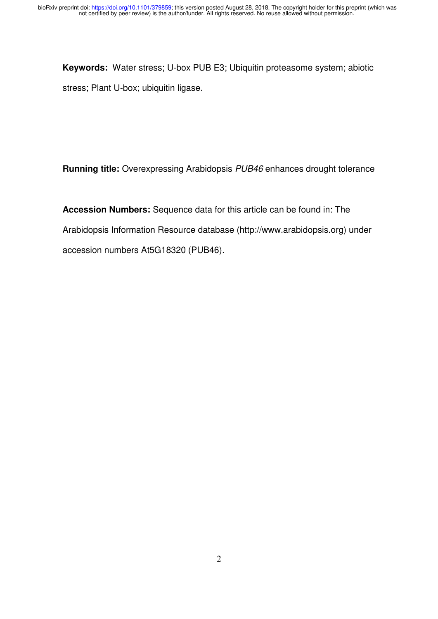**Keywords:** Water stress; U-box PUB E3; Ubiquitin proteasome system; abiotic stress; Plant U-box; ubiquitin ligase.

**Running title:** Overexpressing Arabidopsis *PUB46* enhances drought tolerance

**Accession Numbers:** Sequence data for this article can be found in: The Arabidopsis Information Resource database (http://www.arabidopsis.org) under accession numbers At5G18320 (PUB46).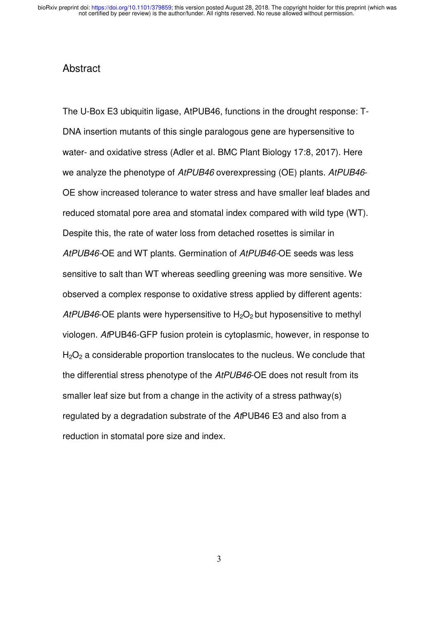#### Abstract

The U-Box E3 ubiquitin ligase, AtPUB46, functions in the drought response: T-DNA insertion mutants of this single paralogous gene are hypersensitive to water- and oxidative stress (Adler et al. BMC Plant Biology 17:8, 2017). Here we analyze the phenotype of *AtPUB46* overexpressing (OE) plants. *AtPUB46*- OE show increased tolerance to water stress and have smaller leaf blades and reduced stomatal pore area and stomatal index compared with wild type (WT). Despite this, the rate of water loss from detached rosettes is similar in *AtPUB46-*OE and WT plants. Germination of *AtPUB46-*OE seeds was less sensitive to salt than WT whereas seedling greening was more sensitive. We observed a complex response to oxidative stress applied by different agents: *AtPUB46*-OE plants were hypersensitive to  $H_2O_2$  but hyposensitive to methyl viologen. *At*PUB46-GFP fusion protein is cytoplasmic, however, in response to  $H<sub>2</sub>O<sub>2</sub>$  a considerable proportion translocates to the nucleus. We conclude that the differential stress phenotype of the *AtPUB46*-OE does not result from its smaller leaf size but from a change in the activity of a stress pathway(s) regulated by a degradation substrate of the *At*PUB46 E3 and also from a reduction in stomatal pore size and index.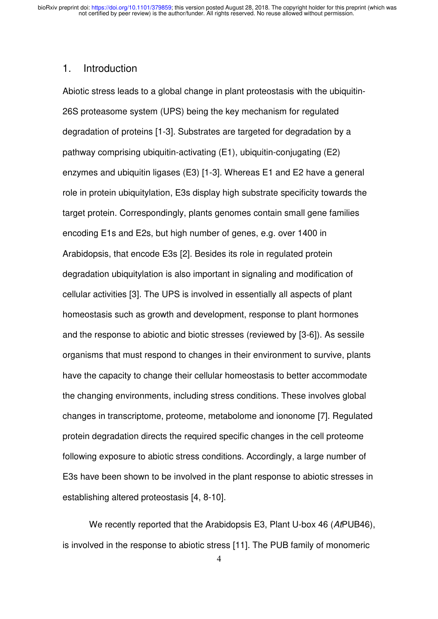#### 1. Introduction

Abiotic stress leads to a global change in plant proteostasis with the ubiquitin-26S proteasome system (UPS) being the key mechanism for regulated degradation of proteins [1-3]. Substrates are targeted for degradation by a pathway comprising ubiquitin-activating (E1), ubiquitin-conjugating (E2) enzymes and ubiquitin ligases (E3) [1-3]. Whereas E1 and E2 have a general role in protein ubiquitylation, E3s display high substrate specificity towards the target protein. Correspondingly, plants genomes contain small gene families encoding E1s and E2s, but high number of genes, e.g. over 1400 in Arabidopsis, that encode E3s [2]. Besides its role in regulated protein degradation ubiquitylation is also important in signaling and modification of cellular activities [3]. The UPS is involved in essentially all aspects of plant homeostasis such as growth and development, response to plant hormones and the response to abiotic and biotic stresses (reviewed by [3-6]). As sessile organisms that must respond to changes in their environment to survive, plants have the capacity to change their cellular homeostasis to better accommodate the changing environments, including stress conditions. These involves global changes in transcriptome, proteome, metabolome and iononome [7]. Regulated protein degradation directs the required specific changes in the cell proteome following exposure to abiotic stress conditions. Accordingly, a large number of E3s have been shown to be involved in the plant response to abiotic stresses in establishing altered proteostasis [4, 8-10].

We recently reported that the Arabidopsis E3, Plant U-box 46 (*At*PUB46), is involved in the response to abiotic stress [11]. The PUB family of monomeric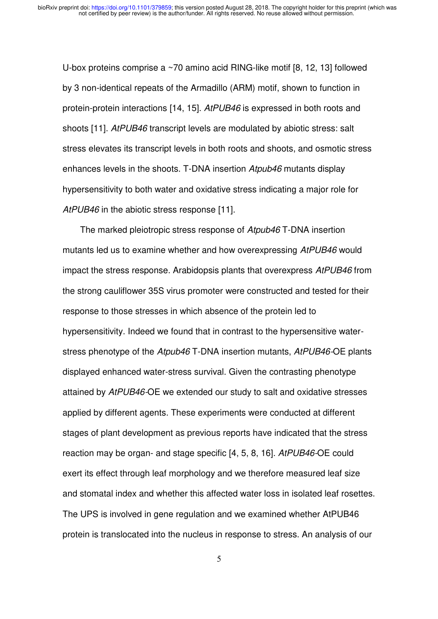U-box proteins comprise a ~70 amino acid RING-like motif [8, 12, 13] followed by 3 non-identical repeats of the Armadillo (ARM) motif, shown to function in protein-protein interactions [14, 15]. *AtPUB46* is expressed in both roots and shoots [11]. *AtPUB46* transcript levels are modulated by abiotic stress: salt stress elevates its transcript levels in both roots and shoots, and osmotic stress enhances levels in the shoots. T-DNA insertion *Atpub46* mutants display hypersensitivity to both water and oxidative stress indicating a major role for *AtPUB46* in the abiotic stress response [11].

The marked pleiotropic stress response of *Atpub46* T-DNA insertion mutants led us to examine whether and how overexpressing *AtPUB46* would impact the stress response. Arabidopsis plants that overexpress *AtPUB46* from the strong cauliflower 35S virus promoter were constructed and tested for their response to those stresses in which absence of the protein led to hypersensitivity. Indeed we found that in contrast to the hypersensitive waterstress phenotype of the *Atpub46* T-DNA insertion mutants, *AtPUB46-*OE plants displayed enhanced water-stress survival. Given the contrasting phenotype attained by *AtPUB46-*OE we extended our study to salt and oxidative stresses applied by different agents. These experiments were conducted at different stages of plant development as previous reports have indicated that the stress reaction may be organ- and stage specific [4, 5, 8, 16]. *AtPUB46-*OE could exert its effect through leaf morphology and we therefore measured leaf size and stomatal index and whether this affected water loss in isolated leaf rosettes. The UPS is involved in gene regulation and we examined whether AtPUB46 protein is translocated into the nucleus in response to stress. An analysis of our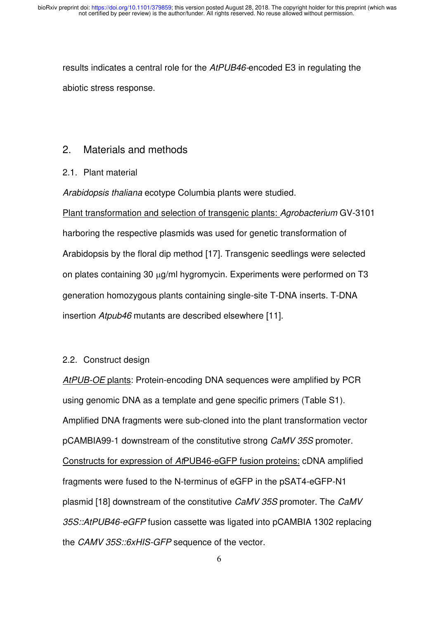results indicates a central role for the *AtPUB46-*encoded E3 in regulating the abiotic stress response.

#### 2. Materials and methods

#### 2.1. Plant material

*Arabidopsis thaliana* ecotype Columbia plants were studied.

Plant transformation and selection of transgenic plants: *Agrobacterium* GV-3101 harboring the respective plasmids was used for genetic transformation of Arabidopsis by the floral dip method [17]. Transgenic seedlings were selected on plates containing 30 µg/ml hygromycin. Experiments were performed on T3 generation homozygous plants containing single-site T-DNA inserts. T-DNA insertion *Atpub46* mutants are described elsewhere [11].

#### 2.2. Construct design

*AtPUB-OE* plants: Protein-encoding DNA sequences were amplified by PCR using genomic DNA as a template and gene specific primers (Table S1). Amplified DNA fragments were sub-cloned into the plant transformation vector pCAMBIA99-1 downstream of the constitutive strong *CaMV 35S* promoter. Constructs for expression of *At*PUB46-eGFP fusion proteins: cDNA amplified fragments were fused to the N-terminus of eGFP in the pSAT4-eGFP-N1 plasmid [18] downstream of the constitutive *CaMV 35S* promoter. The *CaMV 35S::AtPUB46-eGFP* fusion cassette was ligated into pCAMBIA 1302 replacing the *CAMV 35S::6xHIS-GFP* sequence of the vector.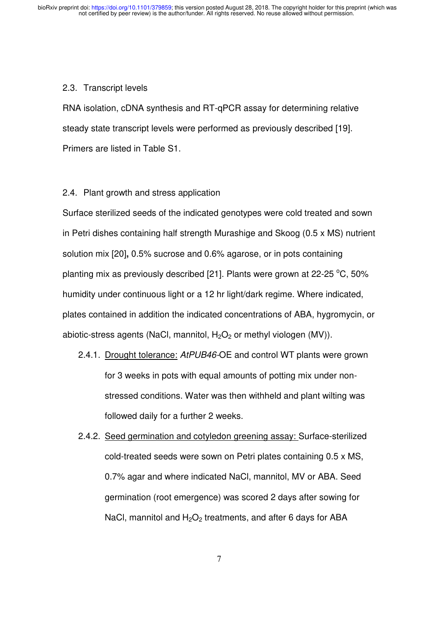#### 2.3. Transcript levels

RNA isolation, cDNA synthesis and RT-qPCR assay for determining relative steady state transcript levels were performed as previously described [19]. Primers are listed in Table S1.

#### 2.4. Plant growth and stress application

Surface sterilized seeds of the indicated genotypes were cold treated and sown in Petri dishes containing half strength Murashige and Skoog (0.5 x MS) nutrient solution mix [20]**,** 0.5% sucrose and 0.6% agarose, or in pots containing planting mix as previously described [21]. Plants were grown at 22-25  $^{\circ}$ C, 50% humidity under continuous light or a 12 hr light/dark regime. Where indicated, plates contained in addition the indicated concentrations of ABA, hygromycin, or abiotic-stress agents (NaCl, mannitol,  $H_2O_2$  or methyl viologen (MV)).

- 2.4.1. Drought tolerance: *AtPUB46-*OE and control WT plants were grown for 3 weeks in pots with equal amounts of potting mix under nonstressed conditions. Water was then withheld and plant wilting was followed daily for a further 2 weeks.
- 2.4.2. Seed germination and cotyledon greening assay: Surface-sterilized cold-treated seeds were sown on Petri plates containing 0.5 x MS, 0.7% agar and where indicated NaCl, mannitol, MV or ABA. Seed germination (root emergence) was scored 2 days after sowing for NaCl, mannitol and  $H_2O_2$  treatments, and after 6 days for ABA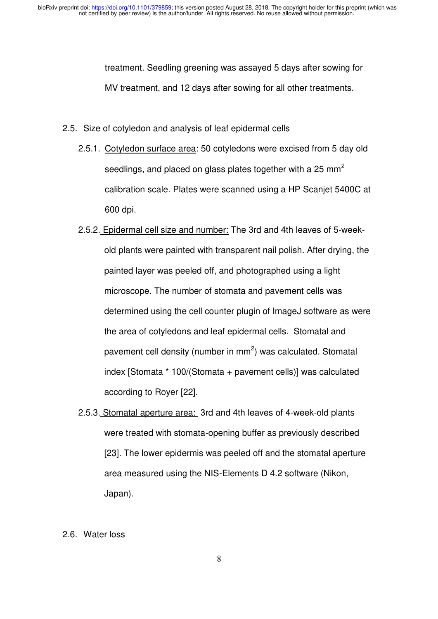treatment. Seedling greening was assayed 5 days after sowing for MV treatment, and 12 days after sowing for all other treatments.

- 2.5. Size of cotyledon and analysis of leaf epidermal cells
	- 2.5.1. Cotyledon surface area: 50 cotyledons were excised from 5 day old seedlings, and placed on glass plates together with a 25 mm<sup>2</sup> calibration scale. Plates were scanned using a HP Scanjet 5400C at 600 dpi.
	- 2.5.2. Epidermal cell size and number: The 3rd and 4th leaves of 5-weekold plants were painted with transparent nail polish. After drying, the painted layer was peeled off, and photographed using a light microscope. The number of stomata and pavement cells was determined using the cell counter plugin of ImageJ software as were the area of cotyledons and leaf epidermal cells. Stomatal and pavement cell density (number in mm<sup>2</sup>) was calculated. Stomatal index [Stomata \* 100/(Stomata + pavement cells)] was calculated according to Royer [22].
	- 2.5.3. Stomatal aperture area: 3rd and 4th leaves of 4-week-old plants were treated with stomata-opening buffer as previously described [23]. The lower epidermis was peeled off and the stomatal aperture area measured using the NIS-Elements D 4.2 software (Nikon, Japan).
- 2.6. Water loss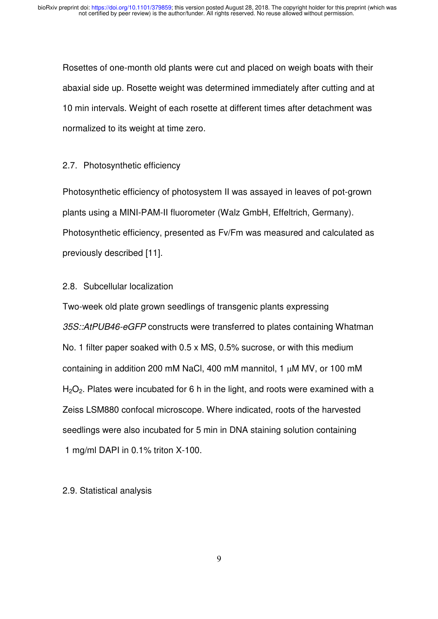Rosettes of one-month old plants were cut and placed on weigh boats with their abaxial side up. Rosette weight was determined immediately after cutting and at 10 min intervals. Weight of each rosette at different times after detachment was normalized to its weight at time zero.

#### 2.7. Photosynthetic efficiency

Photosynthetic efficiency of photosystem II was assayed in leaves of pot-grown plants using a MINI-PAM-II fluorometer (Walz GmbH, Effeltrich, Germany). Photosynthetic efficiency, presented as Fv/Fm was measured and calculated as previously described [11].

#### 2.8. Subcellular localization

Two-week old plate grown seedlings of transgenic plants expressing *35S::AtPUB46-eGFP* constructs were transferred to plates containing Whatman No. 1 filter paper soaked with 0.5 x MS, 0.5% sucrose, or with this medium containing in addition 200 mM NaCl, 400 mM mannitol, 1  $\mu$ M MV, or 100 mM  $H<sub>2</sub>O<sub>2</sub>$ . Plates were incubated for 6 h in the light, and roots were examined with a Zeiss LSM880 confocal microscope. Where indicated, roots of the harvested seedlings were also incubated for 5 min in DNA staining solution containing 1 mg/ml DAPI in 0.1% triton X-100.

#### 2.9. Statistical analysis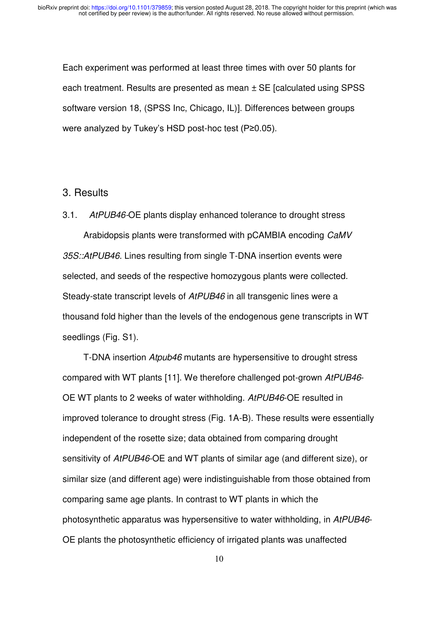Each experiment was performed at least three times with over 50 plants for each treatment. Results are presented as mean ± SE [calculated using SPSS software version 18, (SPSS Inc, Chicago, IL)]. Differences between groups were analyzed by Tukey's HSD post-hoc test (P≥0.05).

#### 3. Results

3.1. *AtPUB46-*OE plants display enhanced tolerance to drought stress

Arabidopsis plants were transformed with pCAMBIA encoding *CaMV 35S::AtPUB46*. Lines resulting from single T-DNA insertion events were selected, and seeds of the respective homozygous plants were collected. Steady-state transcript levels of *AtPUB46* in all transgenic lines were a thousand fold higher than the levels of the endogenous gene transcripts in WT seedlings (Fig. S1).

T-DNA insertion *Atpub46* mutants are hypersensitive to drought stress compared with WT plants [11]. We therefore challenged pot-grown *AtPUB46*- OE WT plants to 2 weeks of water withholding. *AtPUB46*-OE resulted in improved tolerance to drought stress (Fig. 1A-B). These results were essentially independent of the rosette size; data obtained from comparing drought sensitivity of *AtPUB46*-OE and WT plants of similar age (and different size), or similar size (and different age) were indistinguishable from those obtained from comparing same age plants. In contrast to WT plants in which the photosynthetic apparatus was hypersensitive to water withholding, in *AtPUB46*- OE plants the photosynthetic efficiency of irrigated plants was unaffected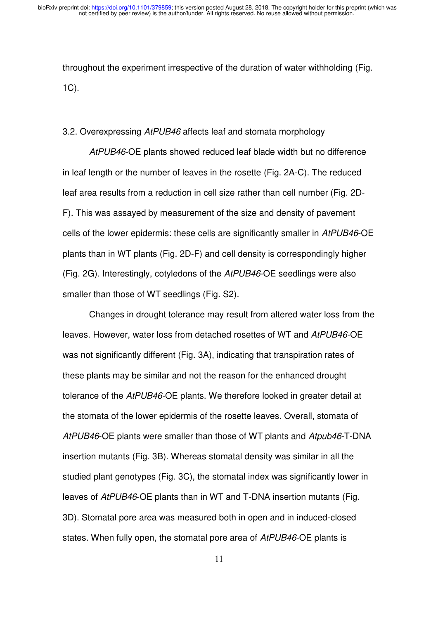throughout the experiment irrespective of the duration of water withholding (Fig. 1C).

#### 3.2. Overexpressing *AtPUB46* affects leaf and stomata morphology

*AtPUB46*-OE plants showed reduced leaf blade width but no difference in leaf length or the number of leaves in the rosette (Fig. 2A-C). The reduced leaf area results from a reduction in cell size rather than cell number (Fig. 2D-F). This was assayed by measurement of the size and density of pavement cells of the lower epidermis: these cells are significantly smaller in *AtPUB46*-OE plants than in WT plants (Fig. 2D-F) and cell density is correspondingly higher (Fig. 2G). Interestingly, cotyledons of the *AtPUB46*-OE seedlings were also smaller than those of WT seedlings (Fig. S2).

Changes in drought tolerance may result from altered water loss from the leaves. However, water loss from detached rosettes of WT and *AtPUB46*-OE was not significantly different (Fig. 3A), indicating that transpiration rates of these plants may be similar and not the reason for the enhanced drought tolerance of the *AtPUB46*-OE plants. We therefore looked in greater detail at the stomata of the lower epidermis of the rosette leaves. Overall, stomata of *AtPUB46*-OE plants were smaller than those of WT plants and *Atpub46*-T-DNA insertion mutants (Fig. 3B). Whereas stomatal density was similar in all the studied plant genotypes (Fig. 3C), the stomatal index was significantly lower in leaves of *AtPUB46*-OE plants than in WT and T-DNA insertion mutants (Fig. 3D). Stomatal pore area was measured both in open and in induced-closed states. When fully open, the stomatal pore area of *AtPUB46*-OE plants is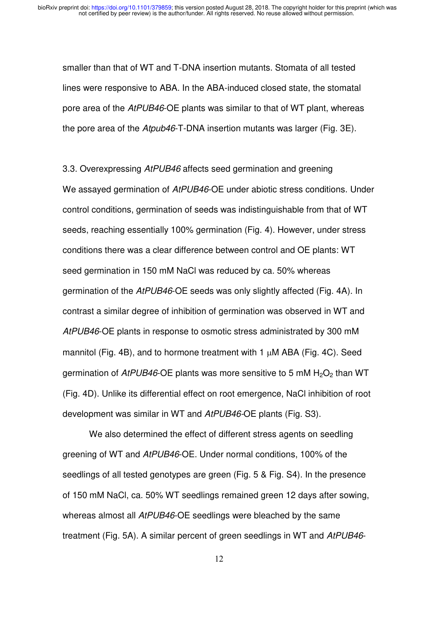smaller than that of WT and T-DNA insertion mutants. Stomata of all tested lines were responsive to ABA. In the ABA-induced closed state, the stomatal pore area of the *AtPUB46*-OE plants was similar to that of WT plant, whereas the pore area of the *Atpub46*-T-DNA insertion mutants was larger (Fig. 3E).

3.3. Overexpressing *AtPUB46* affects seed germination and greening We assayed germination of *AtPUB46*-OE under abiotic stress conditions. Under control conditions, germination of seeds was indistinguishable from that of WT seeds, reaching essentially 100% germination (Fig. 4). However, under stress conditions there was a clear difference between control and OE plants: WT seed germination in 150 mM NaCl was reduced by ca. 50% whereas germination of the *AtPUB46*-OE seeds was only slightly affected (Fig. 4A). In contrast a similar degree of inhibition of germination was observed in WT and *AtPUB46*-OE plants in response to osmotic stress administrated by 300 mM mannitol (Fig. 4B), and to hormone treatment with 1  $\mu$ M ABA (Fig. 4C). Seed germination of *AtPUB46*-OE plants was more sensitive to 5 mM H<sub>2</sub>O<sub>2</sub> than WT (Fig. 4D). Unlike its differential effect on root emergence, NaCl inhibition of root development was similar in WT and *AtPUB46-*OE plants (Fig. S3).

We also determined the effect of different stress agents on seedling greening of WT and *AtPUB46*-OE. Under normal conditions, 100% of the seedlings of all tested genotypes are green (Fig. 5 & Fig. S4). In the presence of 150 mM NaCl, ca. 50% WT seedlings remained green 12 days after sowing, whereas almost all *AtPUB46*-OE seedlings were bleached by the same treatment (Fig. 5A). A similar percent of green seedlings in WT and *AtPUB46*-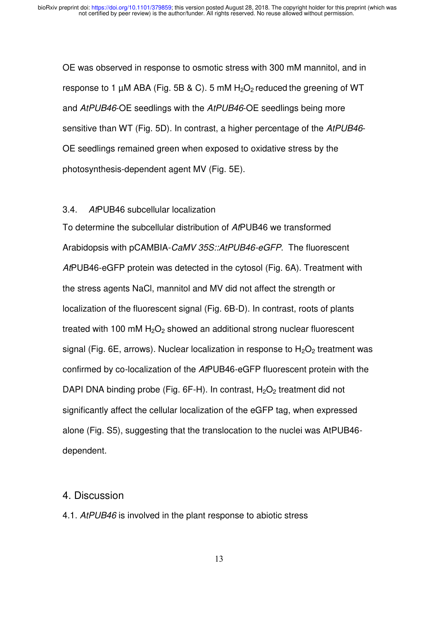OE was observed in response to osmotic stress with 300 mM mannitol, and in response to 1  $\mu$ M ABA (Fig. 5B & C). 5 mM  $H_2O_2$  reduced the greening of WT and *AtPUB46*-OE seedlings with the *AtPUB46*-OE seedlings being more sensitive than WT (Fig. 5D). In contrast, a higher percentage of the *AtPUB46*- OE seedlings remained green when exposed to oxidative stress by the photosynthesis-dependent agent MV (Fig. 5E).

#### 3.4. *At*PUB46 subcellular localization

To determine the subcellular distribution of *At*PUB46 we transformed Arabidopsis with pCAMBIA-*CaMV 35S::AtPUB46-eGFP*. The fluorescent *At*PUB46-eGFP protein was detected in the cytosol (Fig. 6A). Treatment with the stress agents NaCl, mannitol and MV did not affect the strength or localization of the fluorescent signal (Fig. 6B-D). In contrast, roots of plants treated with 100 mM  $H_2O_2$  showed an additional strong nuclear fluorescent signal (Fig. 6E, arrows). Nuclear localization in response to  $H_2O_2$  treatment was confirmed by co-localization of the *At*PUB46-eGFP fluorescent protein with the DAPI DNA binding probe (Fig.  $6F-H$ ). In contrast,  $H_2O_2$  treatment did not significantly affect the cellular localization of the eGFP tag, when expressed alone (Fig. S5), suggesting that the translocation to the nuclei was AtPUB46 dependent.

#### 4. Discussion

4.1. *AtPUB46* is involved in the plant response to abiotic stress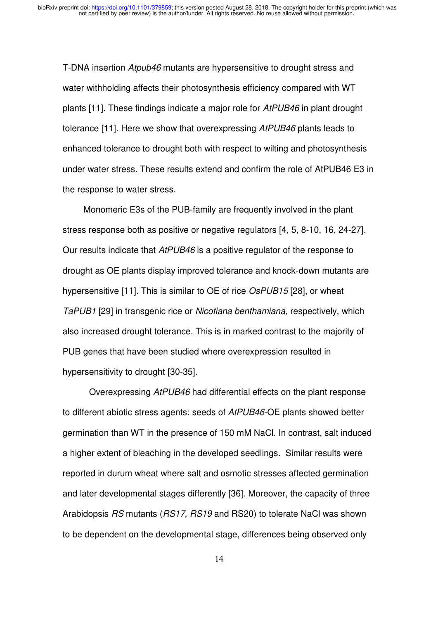T-DNA insertion *Atpub46* mutants are hypersensitive to drought stress and water withholding affects their photosynthesis efficiency compared with WT plants [11]. These findings indicate a major role for *AtPUB46* in plant drought tolerance [11]. Here we show that overexpressing *AtPUB46* plants leads to enhanced tolerance to drought both with respect to wilting and photosynthesis under water stress. These results extend and confirm the role of AtPUB46 E3 in the response to water stress.

Monomeric E3s of the PUB-family are frequently involved in the plant stress response both as positive or negative regulators [4, 5, 8-10, 16, 24-27]. Our results indicate that *AtPUB46* is a positive regulator of the response to drought as OE plants display improved tolerance and knock-down mutants are hypersensitive [11]. This is similar to OE of rice *OsPUB15* [28], or wheat *TaPUB1* [29] in transgenic rice or *Nicotiana benthamiana,* respectively, which also increased drought tolerance. This is in marked contrast to the majority of PUB genes that have been studied where overexpression resulted in hypersensitivity to drought [30-35].

 Overexpressing *AtPUB46* had differential effects on the plant response to different abiotic stress agents: seeds of *AtPUB46-*OE plants showed better germination than WT in the presence of 150 mM NaCl. In contrast, salt induced a higher extent of bleaching in the developed seedlings. Similar results were reported in durum wheat where salt and osmotic stresses affected germination and later developmental stages differently [36]. Moreover, the capacity of three Arabidopsis *RS* mutants (*RS17, RS19* and RS20) to tolerate NaCl was shown to be dependent on the developmental stage, differences being observed only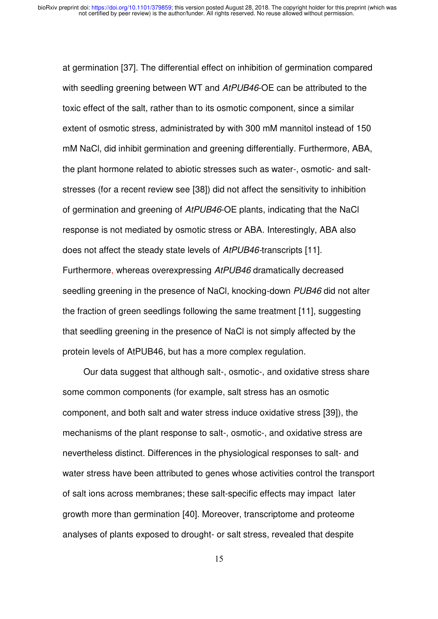at germination [37]. The differential effect on inhibition of germination compared with seedling greening between WT and *AtPUB46*-OE can be attributed to the toxic effect of the salt, rather than to its osmotic component, since a similar extent of osmotic stress, administrated by with 300 mM mannitol instead of 150 mM NaCl, did inhibit germination and greening differentially. Furthermore, ABA, the plant hormone related to abiotic stresses such as water-, osmotic- and saltstresses (for a recent review see [38]) did not affect the sensitivity to inhibition of germination and greening of *AtPUB46*-OE plants, indicating that the NaCl response is not mediated by osmotic stress or ABA. Interestingly, ABA also does not affect the steady state levels of *AtPUB46-*transcripts [11]*.* Furthermore, whereas overexpressing *AtPUB46* dramatically decreased seedling greening in the presence of NaCl, knocking-down *PUB46* did not alter the fraction of green seedlings following the same treatment [11], suggesting that seedling greening in the presence of NaCl is not simply affected by the protein levels of AtPUB46, but has a more complex regulation.

Our data suggest that although salt-, osmotic-, and oxidative stress share some common components (for example, salt stress has an osmotic component, and both salt and water stress induce oxidative stress [39]), the mechanisms of the plant response to salt-, osmotic-, and oxidative stress are nevertheless distinct. Differences in the physiological responses to salt- and water stress have been attributed to genes whose activities control the transport of salt ions across membranes; these salt-specific effects may impact later growth more than germination [40]. Moreover, transcriptome and proteome analyses of plants exposed to drought- or salt stress, revealed that despite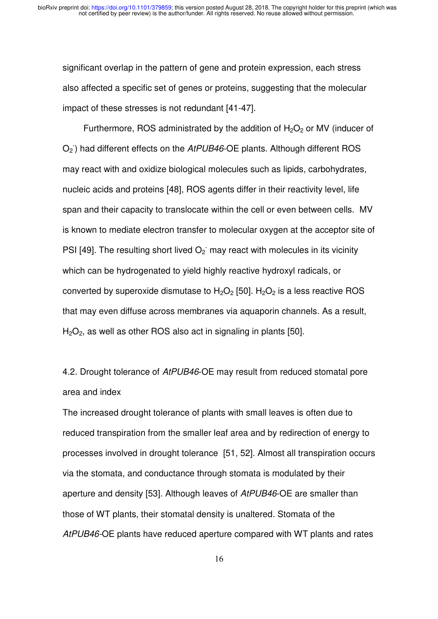significant overlap in the pattern of gene and protein expression, each stress also affected a specific set of genes or proteins, suggesting that the molecular impact of these stresses is not redundant [41-47].

Furthermore, ROS administrated by the addition of  $H_2O_2$  or MV (inducer of O<sub>2</sub><sup>)</sup> had different effects on the AtPUB46-OE plants. Although different ROS may react with and oxidize biological molecules such as lipids, carbohydrates, nucleic acids and proteins [48], ROS agents differ in their reactivity level, life span and their capacity to translocate within the cell or even between cells. MV is known to mediate electron transfer to molecular oxygen at the acceptor site of PSI [49]. The resulting short lived  $O_2$  may react with molecules in its vicinity which can be hydrogenated to yield highly reactive hydroxyl radicals, or converted by superoxide dismutase to  $H_2O_2$  [50].  $H_2O_2$  is a less reactive ROS that may even diffuse across membranes via aquaporin channels. As a result,  $H<sub>2</sub>O<sub>2</sub>$ , as well as other ROS also act in signaling in plants [50].

4.2. Drought tolerance of *AtPUB46*-OE may result from reduced stomatal pore area and index

The increased drought tolerance of plants with small leaves is often due to reduced transpiration from the smaller leaf area and by redirection of energy to processes involved in drought tolerance [51, 52]. Almost all transpiration occurs via the stomata, and conductance through stomata is modulated by their aperture and density [53]. Although leaves of *AtPUB46*-OE are smaller than those of WT plants, their stomatal density is unaltered. Stomata of the *AtPUB46-*OE plants have reduced aperture compared with WT plants and rates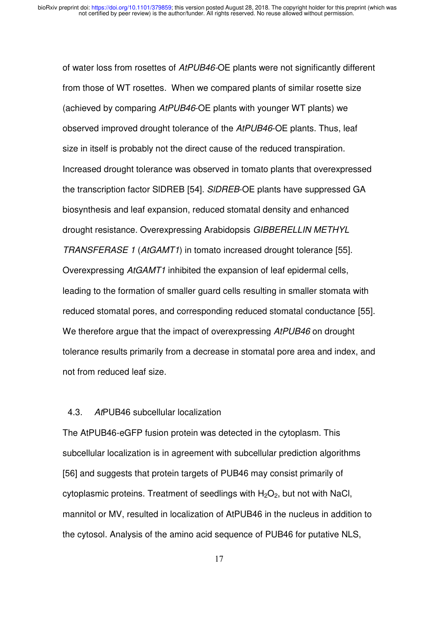of water loss from rosettes of *AtPUB46-*OE plants were not significantly different from those of WT rosettes. When we compared plants of similar rosette size (achieved by comparing *AtPUB46*-OE plants with younger WT plants) we observed improved drought tolerance of the *AtPUB46*-OE plants. Thus, leaf size in itself is probably not the direct cause of the reduced transpiration. Increased drought tolerance was observed in tomato plants that overexpressed the transcription factor SlDREB [54]. *SlDREB*-OE plants have suppressed GA biosynthesis and leaf expansion, reduced stomatal density and enhanced drought resistance. Overexpressing Arabidopsis *GIBBERELLIN METHYL TRANSFERASE 1* (*AtGAMT1*) in tomato increased drought tolerance [55]. Overexpressing *AtGAMT1* inhibited the expansion of leaf epidermal cells, leading to the formation of smaller guard cells resulting in smaller stomata with reduced stomatal pores, and corresponding reduced stomatal conductance [55]. We therefore argue that the impact of overexpressing *AtPUB46* on drought tolerance results primarily from a decrease in stomatal pore area and index, and not from reduced leaf size.

#### 4.3. *At*PUB46 subcellular localization

The AtPUB46-eGFP fusion protein was detected in the cytoplasm. This subcellular localization is in agreement with subcellular prediction algorithms [56] and suggests that protein targets of PUB46 may consist primarily of cytoplasmic proteins. Treatment of seedlings with  $H_2O_2$ , but not with NaCl, mannitol or MV, resulted in localization of AtPUB46 in the nucleus in addition to the cytosol. Analysis of the amino acid sequence of PUB46 for putative NLS,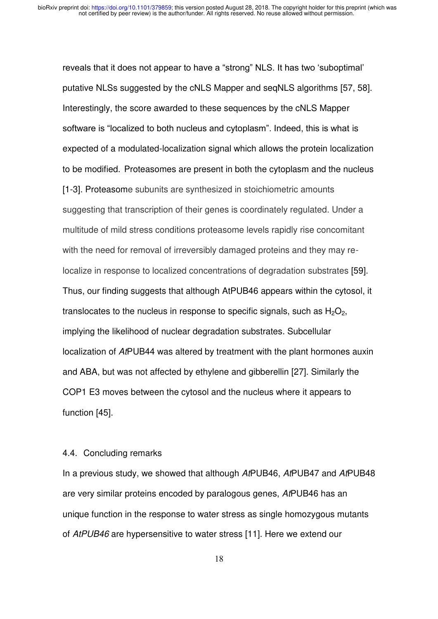reveals that it does not appear to have a "strong" NLS. It has two 'suboptimal' putative NLSs suggested by the cNLS Mapper and seqNLS algorithms [57, 58]. Interestingly, the score awarded to these sequences by the cNLS Mapper software is "localized to both nucleus and cytoplasm". Indeed, this is what is expected of a modulated-localization signal which allows the protein localization to be modified. Proteasomes are present in both the cytoplasm and the nucleus [1-3]. Proteasome subunits are synthesized in stoichiometric amounts suggesting that transcription of their genes is coordinately regulated. Under a multitude of mild stress conditions proteasome levels rapidly rise concomitant with the need for removal of irreversibly damaged proteins and they may relocalize in response to localized concentrations of degradation substrates [59]. Thus, our finding suggests that although AtPUB46 appears within the cytosol, it translocates to the nucleus in response to specific signals, such as  $H_2O_2$ , implying the likelihood of nuclear degradation substrates. Subcellular localization of *At*PUB44 was altered by treatment with the plant hormones auxin and ABA, but was not affected by ethylene and gibberellin [27]. Similarly the COP1 E3 moves between the cytosol and the nucleus where it appears to function [45].

#### 4.4. Concluding remarks

In a previous study, we showed that although *At*PUB46, *At*PUB47 and *At*PUB48 are very similar proteins encoded by paralogous genes, *At*PUB46 has an unique function in the response to water stress as single homozygous mutants of *AtPUB46* are hypersensitive to water stress [11]. Here we extend our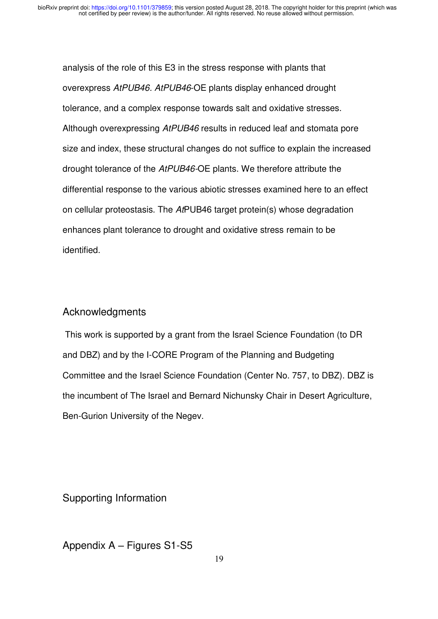analysis of the role of this E3 in the stress response with plants that overexpress *AtPUB46. AtPUB46*-OE plants display enhanced drought tolerance, and a complex response towards salt and oxidative stresses. Although overexpressing *AtPUB46* results in reduced leaf and stomata pore size and index, these structural changes do not suffice to explain the increased drought tolerance of the *AtPUB46-*OE plants. We therefore attribute the differential response to the various abiotic stresses examined here to an effect on cellular proteostasis. The *At*PUB46 target protein(s) whose degradation enhances plant tolerance to drought and oxidative stress remain to be identified.

#### Acknowledgments

 This work is supported by a grant from the Israel Science Foundation (to DR and DBZ) and by the I-CORE Program of the Planning and Budgeting Committee and the Israel Science Foundation (Center No. 757, to DBZ). DBZ is the incumbent of The Israel and Bernard Nichunsky Chair in Desert Agriculture, Ben-Gurion University of the Negev.

Supporting Information

Appendix A – Figures S1-S5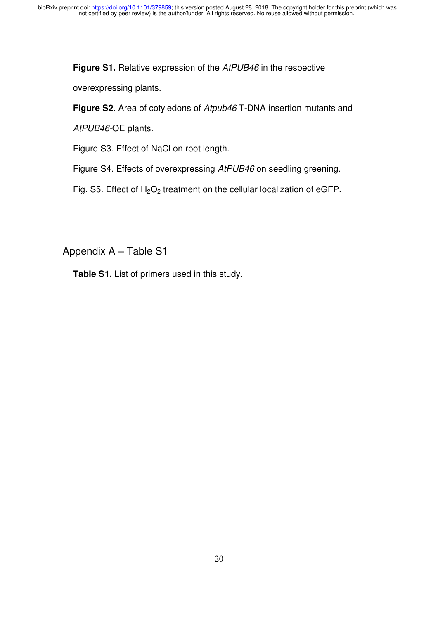**Figure S1.** Relative expression of the *AtPUB46* in the respective

overexpressing plants.

**Figure S2**. Area of cotyledons of *Atpub46* T-DNA insertion mutants and

*AtPUB46-*OE plants.

Figure S3. Effect of NaCl on root length.

Figure S4. Effects of overexpressing *AtPUB46* on seedling greening.

Fig. S5. Effect of  $H_2O_2$  treatment on the cellular localization of eGFP.

Appendix A – Table S1

**Table S1.** List of primers used in this study.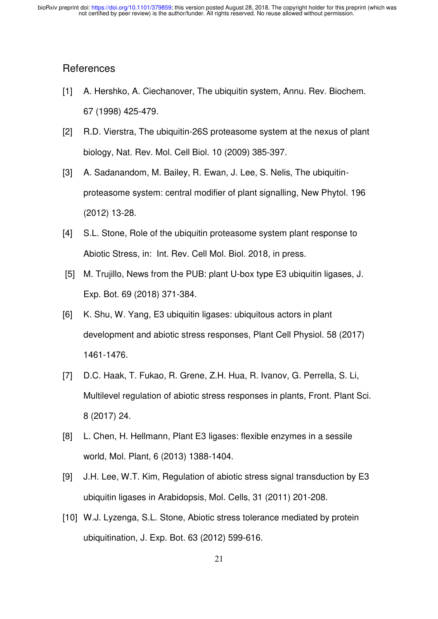#### **References**

- [1] A. Hershko, A. Ciechanover, The ubiquitin system, Annu. Rev. Biochem. 67 (1998) 425-479.
- [2] R.D. Vierstra, The ubiquitin-26S proteasome system at the nexus of plant biology, Nat. Rev. Mol. Cell Biol. 10 (2009) 385-397.
- [3] A. Sadanandom, M. Bailey, R. Ewan, J. Lee, S. Nelis, The ubiquitinproteasome system: central modifier of plant signalling, New Phytol. 196 (2012) 13-28.
- [4] S.L. Stone, Role of the ubiquitin proteasome system plant response to Abiotic Stress, in: Int. Rev. Cell Mol. Biol. 2018, in press.
- [5] M. Trujillo, News from the PUB: plant U-box type E3 ubiquitin ligases, J. Exp. Bot. 69 (2018) 371-384.
- [6] K. Shu, W. Yang, E3 ubiquitin ligases: ubiquitous actors in plant development and abiotic stress responses, Plant Cell Physiol. 58 (2017) 1461-1476.
- [7] D.C. Haak, T. Fukao, R. Grene, Z.H. Hua, R. Ivanov, G. Perrella, S. Li, Multilevel regulation of abiotic stress responses in plants, Front. Plant Sci. 8 (2017) 24.
- [8] L. Chen, H. Hellmann, Plant E3 ligases: flexible enzymes in a sessile world, Mol. Plant, 6 (2013) 1388-1404.
- [9] J.H. Lee, W.T. Kim, Regulation of abiotic stress signal transduction by E3 ubiquitin ligases in Arabidopsis, Mol. Cells, 31 (2011) 201-208.
- [10] W.J. Lyzenga, S.L. Stone, Abiotic stress tolerance mediated by protein ubiquitination, J. Exp. Bot. 63 (2012) 599-616.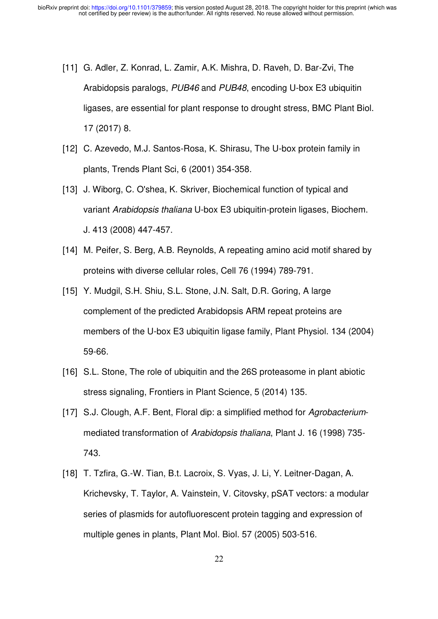- [11] G. Adler, Z. Konrad, L. Zamir, A.K. Mishra, D. Raveh, D. Bar-Zvi, The Arabidopsis paralogs, *PUB46* and *PUB48*, encoding U-box E3 ubiquitin ligases, are essential for plant response to drought stress, BMC Plant Biol. 17 (2017) 8.
- [12] C. Azevedo, M.J. Santos-Rosa, K. Shirasu, The U-box protein family in plants, Trends Plant Sci, 6 (2001) 354-358.
- [13] J. Wiborg, C. O'shea, K. Skriver, Biochemical function of typical and variant *Arabidopsis thaliana* U-box E3 ubiquitin-protein ligases, Biochem. J. 413 (2008) 447-457.
- [14] M. Peifer, S. Berg, A.B. Reynolds, A repeating amino acid motif shared by proteins with diverse cellular roles, Cell 76 (1994) 789-791.
- [15] Y. Mudgil, S.H. Shiu, S.L. Stone, J.N. Salt, D.R. Goring, A large complement of the predicted Arabidopsis ARM repeat proteins are members of the U-box E3 ubiquitin ligase family, Plant Physiol. 134 (2004) 59-66.
- [16] S.L. Stone, The role of ubiquitin and the 26S proteasome in plant abiotic stress signaling, Frontiers in Plant Science, 5 (2014) 135.
- [17] S.J. Clough, A.F. Bent, Floral dip: a simplified method for *Agrobacterium*mediated transformation of *Arabidopsis thaliana*, Plant J. 16 (1998) 735- 743.
- [18] T. Tzfira, G.-W. Tian, B.t. Lacroix, S. Vyas, J. Li, Y. Leitner-Dagan, A. Krichevsky, T. Taylor, A. Vainstein, V. Citovsky, pSAT vectors: a modular series of plasmids for autofluorescent protein tagging and expression of multiple genes in plants, Plant Mol. Biol. 57 (2005) 503-516.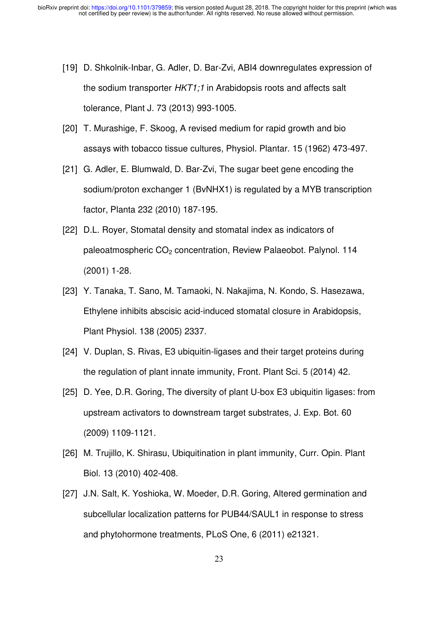- [19] D. Shkolnik-Inbar, G. Adler, D. Bar-Zvi, ABI4 downregulates expression of the sodium transporter *HKT1;1* in Arabidopsis roots and affects salt tolerance, Plant J. 73 (2013) 993-1005.
- [20] T. Murashige, F. Skoog, A revised medium for rapid growth and bio assays with tobacco tissue cultures, Physiol. Plantar. 15 (1962) 473-497.
- [21] G. Adler, E. Blumwald, D. Bar-Zvi, The sugar beet gene encoding the sodium/proton exchanger 1 (BvNHX1) is regulated by a MYB transcription factor, Planta 232 (2010) 187-195.
- [22] D.L. Royer, Stomatal density and stomatal index as indicators of paleoatmospheric CO<sub>2</sub> concentration, Review Palaeobot. Palynol. 114 (2001) 1-28.
- [23] Y. Tanaka, T. Sano, M. Tamaoki, N. Nakajima, N. Kondo, S. Hasezawa, Ethylene inhibits abscisic acid-induced stomatal closure in Arabidopsis, Plant Physiol. 138 (2005) 2337.
- [24] V. Duplan, S. Rivas, E3 ubiquitin-ligases and their target proteins during the regulation of plant innate immunity, Front. Plant Sci. 5 (2014) 42.
- [25] D. Yee, D.R. Goring, The diversity of plant U-box E3 ubiquitin ligases: from upstream activators to downstream target substrates, J. Exp. Bot. 60 (2009) 1109-1121.
- [26] M. Trujillo, K. Shirasu, Ubiquitination in plant immunity, Curr. Opin. Plant Biol. 13 (2010) 402-408.
- [27] J.N. Salt, K. Yoshioka, W. Moeder, D.R. Goring, Altered germination and subcellular localization patterns for PUB44/SAUL1 in response to stress and phytohormone treatments, PLoS One, 6 (2011) e21321.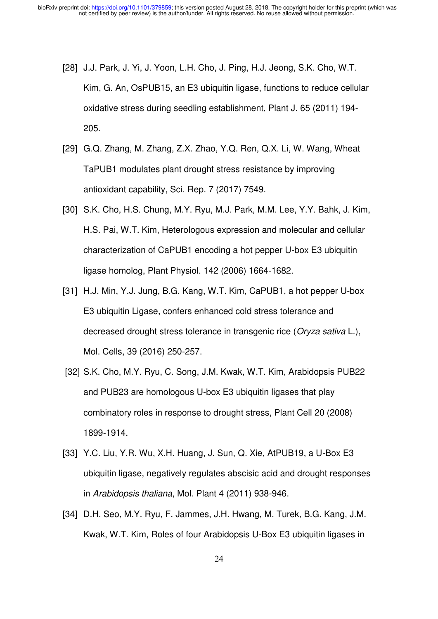- [28] J.J. Park, J. Yi, J. Yoon, L.H. Cho, J. Ping, H.J. Jeong, S.K. Cho, W.T. Kim, G. An, OsPUB15, an E3 ubiquitin ligase, functions to reduce cellular oxidative stress during seedling establishment, Plant J. 65 (2011) 194- 205.
- [29] G.Q. Zhang, M. Zhang, Z.X. Zhao, Y.Q. Ren, Q.X. Li, W. Wang, Wheat TaPUB1 modulates plant drought stress resistance by improving antioxidant capability, Sci. Rep. 7 (2017) 7549.
- [30] S.K. Cho, H.S. Chung, M.Y. Ryu, M.J. Park, M.M. Lee, Y.Y. Bahk, J. Kim, H.S. Pai, W.T. Kim, Heterologous expression and molecular and cellular characterization of CaPUB1 encoding a hot pepper U-box E3 ubiquitin ligase homolog, Plant Physiol. 142 (2006) 1664-1682.
- [31] H.J. Min, Y.J. Jung, B.G. Kang, W.T. Kim, CaPUB1, a hot pepper U-box E3 ubiquitin Ligase, confers enhanced cold stress tolerance and decreased drought stress tolerance in transgenic rice (*Oryza sativa* L.), Mol. Cells, 39 (2016) 250-257.
- [32] S.K. Cho, M.Y. Ryu, C. Song, J.M. Kwak, W.T. Kim, Arabidopsis PUB22 and PUB23 are homologous U-box E3 ubiquitin ligases that play combinatory roles in response to drought stress, Plant Cell 20 (2008) 1899-1914.
- [33] Y.C. Liu, Y.R. Wu, X.H. Huang, J. Sun, Q. Xie, AtPUB19, a U-Box E3 ubiquitin ligase, negatively regulates abscisic acid and drought responses in *Arabidopsis thaliana*, Mol. Plant 4 (2011) 938-946.
- [34] D.H. Seo, M.Y. Ryu, F. Jammes, J.H. Hwang, M. Turek, B.G. Kang, J.M. Kwak, W.T. Kim, Roles of four Arabidopsis U-Box E3 ubiquitin ligases in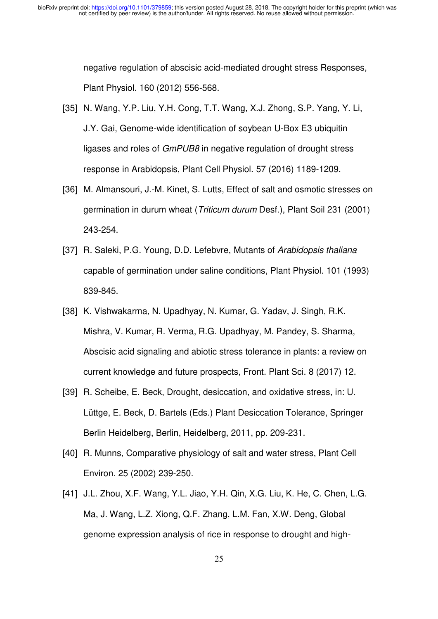negative regulation of abscisic acid-mediated drought stress Responses, Plant Physiol. 160 (2012) 556-568.

- [35] N. Wang, Y.P. Liu, Y.H. Cong, T.T. Wang, X.J. Zhong, S.P. Yang, Y. Li, J.Y. Gai, Genome-wide identification of soybean U-Box E3 ubiquitin ligases and roles of *GmPUB8* in negative regulation of drought stress response in Arabidopsis, Plant Cell Physiol. 57 (2016) 1189-1209.
- [36] M. Almansouri, J.-M. Kinet, S. Lutts, Effect of salt and osmotic stresses on germination in durum wheat (*Triticum durum* Desf.), Plant Soil 231 (2001) 243-254.
- [37] R. Saleki, P.G. Young, D.D. Lefebvre, Mutants of *Arabidopsis thaliana* capable of germination under saline conditions, Plant Physiol. 101 (1993) 839-845.
- [38] K. Vishwakarma, N. Upadhyay, N. Kumar, G. Yadav, J. Singh, R.K. Mishra, V. Kumar, R. Verma, R.G. Upadhyay, M. Pandey, S. Sharma, Abscisic acid signaling and abiotic stress tolerance in plants: a review on current knowledge and future prospects, Front. Plant Sci. 8 (2017) 12.
- [39] R. Scheibe, E. Beck, Drought, desiccation, and oxidative stress, in: U. Lüttge, E. Beck, D. Bartels (Eds.) Plant Desiccation Tolerance, Springer Berlin Heidelberg, Berlin, Heidelberg, 2011, pp. 209-231.
- [40] R. Munns, Comparative physiology of salt and water stress, Plant Cell Environ. 25 (2002) 239-250.
- [41] J.L. Zhou, X.F. Wang, Y.L. Jiao, Y.H. Qin, X.G. Liu, K. He, C. Chen, L.G. Ma, J. Wang, L.Z. Xiong, Q.F. Zhang, L.M. Fan, X.W. Deng, Global genome expression analysis of rice in response to drought and high-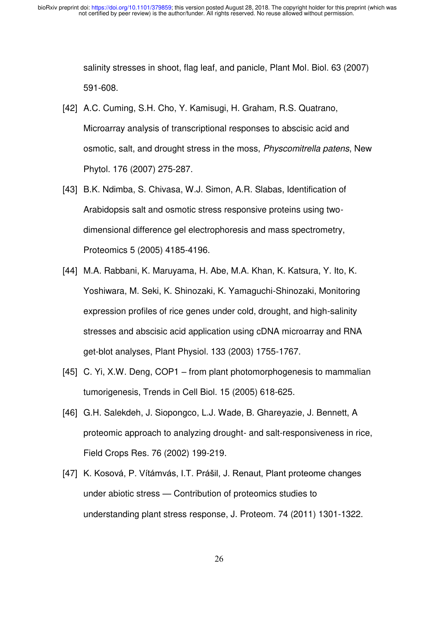salinity stresses in shoot, flag leaf, and panicle, Plant Mol. Biol. 63 (2007) 591-608.

- [42] A.C. Cuming, S.H. Cho, Y. Kamisugi, H. Graham, R.S. Quatrano, Microarray analysis of transcriptional responses to abscisic acid and osmotic, salt, and drought stress in the moss, *Physcomitrella patens*, New Phytol. 176 (2007) 275-287.
- [43] B.K. Ndimba, S. Chivasa, W.J. Simon, A.R. Slabas, Identification of Arabidopsis salt and osmotic stress responsive proteins using twodimensional difference gel electrophoresis and mass spectrometry, Proteomics 5 (2005) 4185-4196.
- [44] M.A. Rabbani, K. Maruyama, H. Abe, M.A. Khan, K. Katsura, Y. Ito, K. Yoshiwara, M. Seki, K. Shinozaki, K. Yamaguchi-Shinozaki, Monitoring expression profiles of rice genes under cold, drought, and high-salinity stresses and abscisic acid application using cDNA microarray and RNA get-blot analyses, Plant Physiol. 133 (2003) 1755-1767.
- [45] C. Yi, X.W. Deng, COP1 from plant photomorphogenesis to mammalian tumorigenesis, Trends in Cell Biol. 15 (2005) 618-625.
- [46] G.H. Salekdeh, J. Siopongco, L.J. Wade, B. Ghareyazie, J. Bennett, A proteomic approach to analyzing drought- and salt-responsiveness in rice, Field Crops Res. 76 (2002) 199-219.
- [47] K. Kosová, P. Vítámvás, I.T. Prášil, J. Renaut, Plant proteome changes under abiotic stress — Contribution of proteomics studies to understanding plant stress response, J. Proteom. 74 (2011) 1301-1322.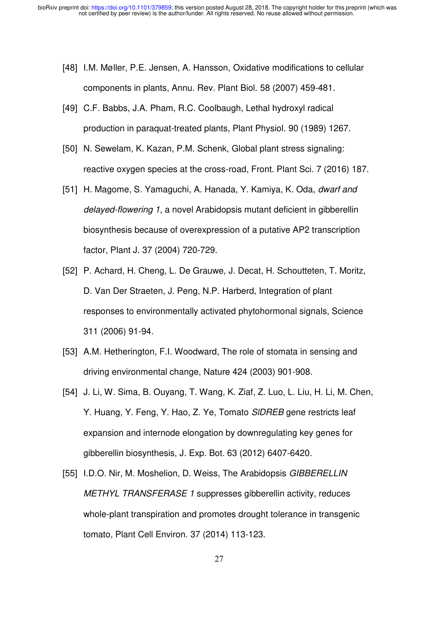- [48] I.M. Møller, P.E. Jensen, A. Hansson, Oxidative modifications to cellular components in plants, Annu. Rev. Plant Biol. 58 (2007) 459-481.
- [49] C.F. Babbs, J.A. Pham, R.C. Coolbaugh, Lethal hydroxyl radical production in paraquat-treated plants, Plant Physiol. 90 (1989) 1267.
- [50] N. Sewelam, K. Kazan, P.M. Schenk, Global plant stress signaling: reactive oxygen species at the cross-road, Front. Plant Sci. 7 (2016) 187.
- [51] H. Magome, S. Yamaguchi, A. Hanada, Y. Kamiya, K. Oda, *dwarf and delayed-flowering 1*, a novel Arabidopsis mutant deficient in gibberellin biosynthesis because of overexpression of a putative AP2 transcription factor, Plant J. 37 (2004) 720-729.
- [52] P. Achard, H. Cheng, L. De Grauwe, J. Decat, H. Schoutteten, T. Moritz, D. Van Der Straeten, J. Peng, N.P. Harberd, Integration of plant responses to environmentally activated phytohormonal signals, Science 311 (2006) 91-94.
- [53] A.M. Hetherington, F.I. Woodward, The role of stomata in sensing and driving environmental change, Nature 424 (2003) 901-908.
- [54] J. Li, W. Sima, B. Ouyang, T. Wang, K. Ziaf, Z. Luo, L. Liu, H. Li, M. Chen, Y. Huang, Y. Feng, Y. Hao, Z. Ye, Tomato *SlDREB* gene restricts leaf expansion and internode elongation by downregulating key genes for gibberellin biosynthesis, J. Exp. Bot. 63 (2012) 6407-6420.
- [55] I.D.O. Nir, M. Moshelion, D. Weiss, The Arabidopsis *GIBBERELLIN METHYL TRANSFERASE 1* suppresses gibberellin activity, reduces whole-plant transpiration and promotes drought tolerance in transgenic tomato, Plant Cell Environ. 37 (2014) 113-123.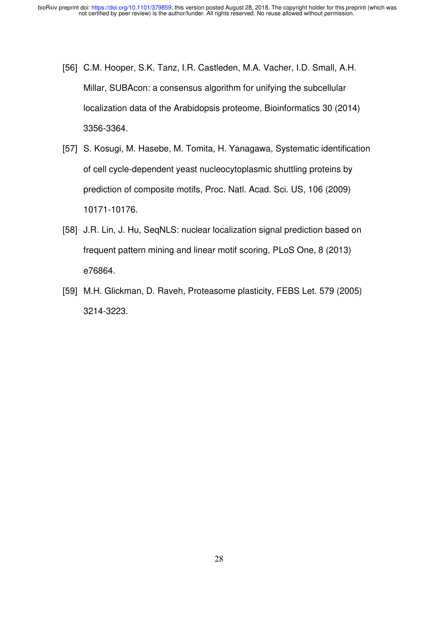- [56] C.M. Hooper, S.K. Tanz, I.R. Castleden, M.A. Vacher, I.D. Small, A.H. Millar, SUBAcon: a consensus algorithm for unifying the subcellular localization data of the Arabidopsis proteome, Bioinformatics 30 (2014) 3356-3364.
- [57] S. Kosugi, M. Hasebe, M. Tomita, H. Yanagawa, Systematic identification of cell cycle-dependent yeast nucleocytoplasmic shuttling proteins by prediction of composite motifs, Proc. Natl. Acad. Sci. US, 106 (2009) 10171-10176.
- [58] J.R. Lin, J. Hu, SeqNLS: nuclear localization signal prediction based on frequent pattern mining and linear motif scoring, PLoS One, 8 (2013) e76864.
- [59] M.H. Glickman, D. Raveh, Proteasome plasticity, FEBS Let. 579 (2005) 3214-3223.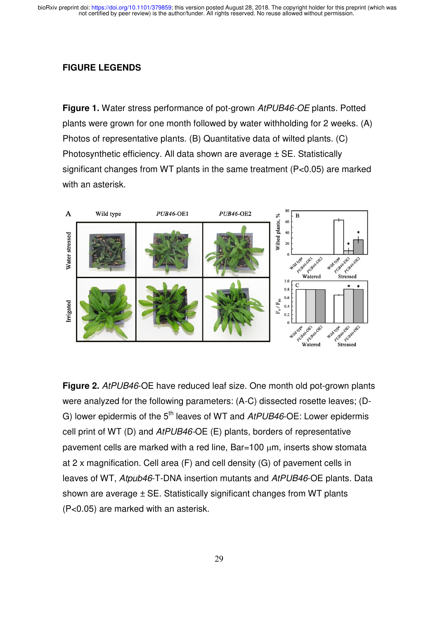#### **FIGURE LEGENDS**

**Figure 1.** Water stress performance of pot-grown *AtPUB46-OE* plants. Potted plants were grown for one month followed by water withholding for 2 weeks. (A) Photos of representative plants. (B) Quantitative data of wilted plants. (C) Photosynthetic efficiency. All data shown are average  $\pm$  SE. Statistically significant changes from WT plants in the same treatment (P<0.05) are marked with an asterisk.



**Figure 2.** *AtPUB46*-OE have reduced leaf size. One month old pot-grown plants were analyzed for the following parameters: (A-C) dissected rosette leaves; (D-G) lower epidermis of the 5<sup>th</sup> leaves of WT and *AtPUB46*-OE: Lower epidermis cell print of WT (D) and *AtPUB46-*OE (E) plants, borders of representative pavement cells are marked with a red line, Bar=100 um, inserts show stomata at 2 x magnification. Cell area (F) and cell density (G) of pavement cells in leaves of WT, *Atpub46*-T-DNA insertion mutants and *AtPUB46*-OE plants. Data shown are average ± SE. Statistically significant changes from WT plants (P<0.05) are marked with an asterisk.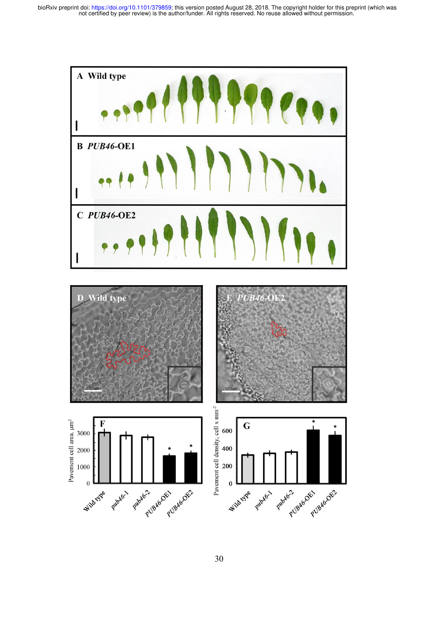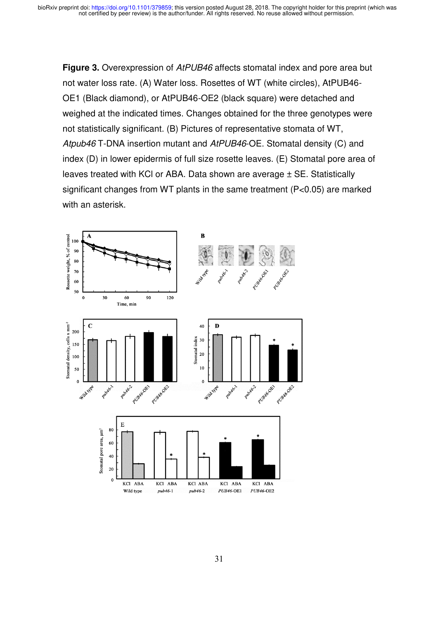**Figure 3.** Overexpression of *AtPUB46* affects stomatal index and pore area but not water loss rate. (A) Water loss. Rosettes of WT (white circles), AtPUB46- OE1 (Black diamond), or AtPUB46-OE2 (black square) were detached and weighed at the indicated times. Changes obtained for the three genotypes were not statistically significant. (B) Pictures of representative stomata of WT, *Atpub46* T-DNA insertion mutant and *AtPUB46*-OE. Stomatal density (C) and index (D) in lower epidermis of full size rosette leaves. (E) Stomatal pore area of leaves treated with KCl or ABA. Data shown are average ± SE. Statistically significant changes from WT plants in the same treatment (P<0.05) are marked with an asterisk.

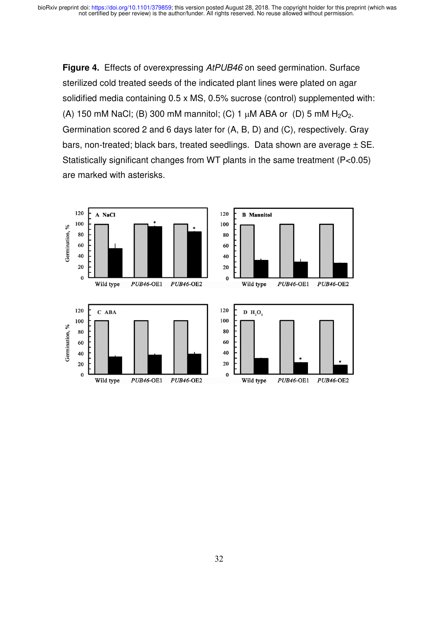**Figure 4.** Effects of overexpressing *AtPUB46* on seed germination. Surface sterilized cold treated seeds of the indicated plant lines were plated on agar solidified media containing 0.5 x MS, 0.5% sucrose (control) supplemented with: (A) 150 mM NaCl; (B) 300 mM mannitol; (C) 1  $\mu$ M ABA or (D) 5 mM H<sub>2</sub>O<sub>2</sub>. Germination scored 2 and 6 days later for (A, B, D) and (C), respectively. Gray bars, non-treated; black bars, treated seedlings. Data shown are average  $\pm$  SE. Statistically significant changes from WT plants in the same treatment (P<0.05) are marked with asterisks.

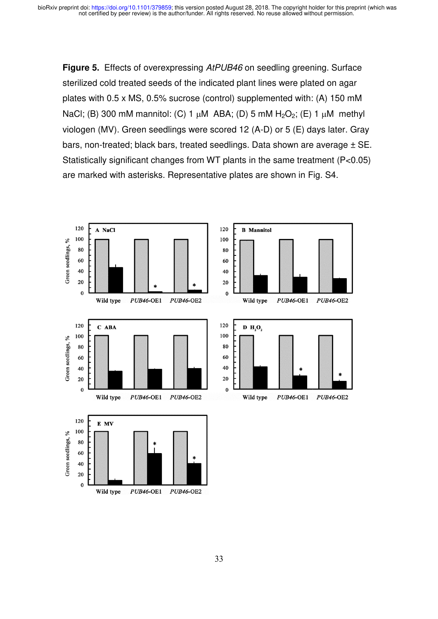**Figure 5.** Effects of overexpressing *AtPUB46* on seedling greening. Surface sterilized cold treated seeds of the indicated plant lines were plated on agar plates with 0.5 x MS, 0.5% sucrose (control) supplemented with: (A) 150 mM NaCl; (B) 300 mM mannitol: (C) 1  $\mu$ M ABA; (D) 5 mM H<sub>2</sub>O<sub>2</sub>; (E) 1  $\mu$ M methyl viologen (MV). Green seedlings were scored 12 (A-D) or 5 (E) days later. Gray bars, non-treated; black bars, treated seedlings. Data shown are average ± SE. Statistically significant changes from WT plants in the same treatment (P<0.05) are marked with asterisks. Representative plates are shown in Fig. S4.

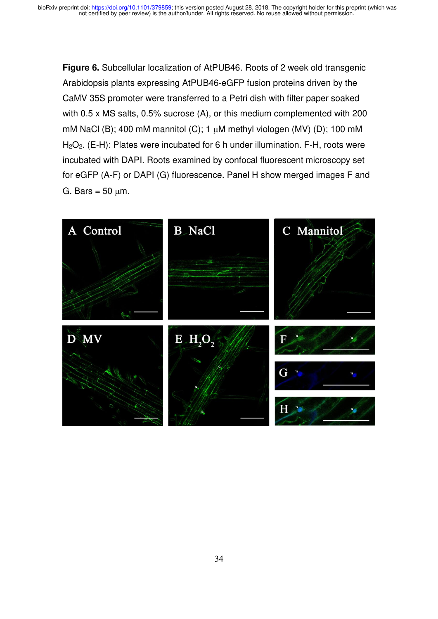**Figure 6.** Subcellular localization of AtPUB46. Roots of 2 week old transgenic Arabidopsis plants expressing AtPUB46-eGFP fusion proteins driven by the CaMV 35S promoter were transferred to a Petri dish with filter paper soaked with 0.5 x MS salts, 0.5% sucrose (A), or this medium complemented with 200 mM NaCl (B); 400 mM mannitol (C); 1  $\mu$ M methyl viologen (MV) (D); 100 mM H<sub>2</sub>O<sub>2</sub>. (E-H): Plates were incubated for 6 h under illumination. F-H, roots were incubated with DAPI. Roots examined by confocal fluorescent microscopy set for eGFP (A-F) or DAPI (G) fluorescence. Panel H show merged images F and G. Bars =  $50 \mu m$ .

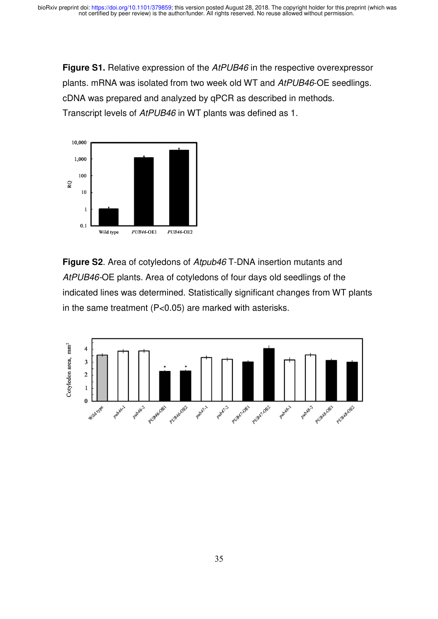**Figure S1.** Relative expression of the *AtPUB46* in the respective overexpressor plants. mRNA was isolated from two week old WT and *AtPUB46*-OE seedlings. cDNA was prepared and analyzed by qPCR as described in methods. Transcript levels of *AtPUB46* in WT plants was defined as 1.



**Figure S2**. Area of cotyledons of *Atpub46* T-DNA insertion mutants and *AtPUB46-*OE plants. Area of cotyledons of four days old seedlings of the indicated lines was determined. Statistically significant changes from WT plants in the same treatment (P<0.05) are marked with asterisks.

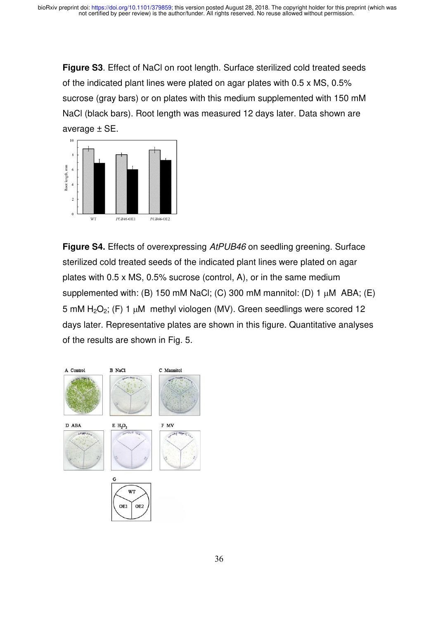**Figure S3**. Effect of NaCl on root length. Surface sterilized cold treated seeds of the indicated plant lines were plated on agar plates with 0.5 x MS, 0.5% sucrose (gray bars) or on plates with this medium supplemented with 150 mM NaCl (black bars). Root length was measured 12 days later. Data shown are average ± SE.



**Figure S4.** Effects of overexpressing *AtPUB46* on seedling greening. Surface sterilized cold treated seeds of the indicated plant lines were plated on agar plates with 0.5 x MS, 0.5% sucrose (control, A), or in the same medium supplemented with: (B) 150 mM NaCl; (C) 300 mM mannitol: (D) 1  $\mu$ M ABA; (E) 5 mM  $H_2O_2$ ; (F) 1  $\mu$ M methyl viologen (MV). Green seedlings were scored 12 days later. Representative plates are shown in this figure. Quantitative analyses of the results are shown in Fig. 5.